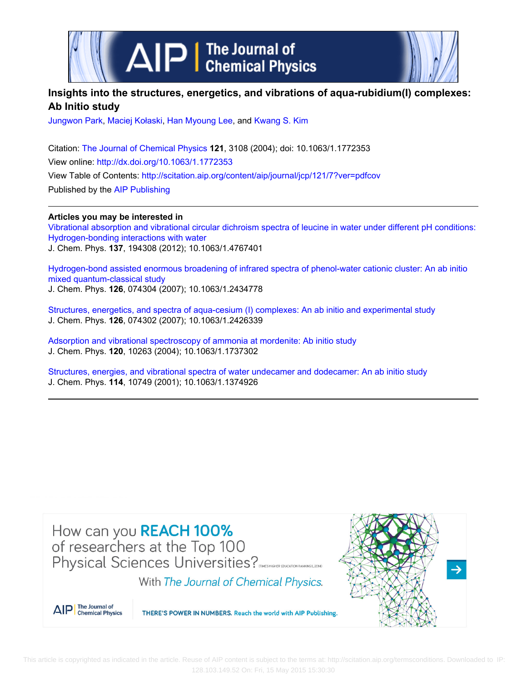

# **Insights into the structures, energetics, and vibrations of aqua-rubidium(I) complexes: Ab Initio study**

[Jungwon Park](http://scitation.aip.org/search?value1=Jungwon+Park&option1=author), [Maciej Kołaski,](http://scitation.aip.org/search?value1=Maciej+Ko�aski&option1=author) [Han Myoung Lee](http://scitation.aip.org/search?value1=Han+Myoung+Lee&option1=author), and [Kwang S. Kim](http://scitation.aip.org/search?value1=Kwang+S.+Kim&option1=author)

Citation: [The Journal of Chemical Physics](http://scitation.aip.org/content/aip/journal/jcp?ver=pdfcov) **121**, 3108 (2004); doi: 10.1063/1.1772353 View online: <http://dx.doi.org/10.1063/1.1772353> View Table of Contents: <http://scitation.aip.org/content/aip/journal/jcp/121/7?ver=pdfcov> Published by the [AIP Publishing](http://scitation.aip.org/content/aip?ver=pdfcov)

**Articles you may be interested in**

[Vibrational absorption and vibrational circular dichroism spectra of leucine in water under different pH conditions:](http://scitation.aip.org/content/aip/journal/jcp/137/19/10.1063/1.4767401?ver=pdfcov) [Hydrogen-bonding interactions with water](http://scitation.aip.org/content/aip/journal/jcp/137/19/10.1063/1.4767401?ver=pdfcov) J. Chem. Phys. **137**, 194308 (2012); 10.1063/1.4767401

[Hydrogen-bond assisted enormous broadening of infrared spectra of phenol-water cationic cluster: An ab initio](http://scitation.aip.org/content/aip/journal/jcp/126/7/10.1063/1.2434778?ver=pdfcov) [mixed quantum-classical study](http://scitation.aip.org/content/aip/journal/jcp/126/7/10.1063/1.2434778?ver=pdfcov) J. Chem. Phys. **126**, 074304 (2007); 10.1063/1.2434778

[Structures, energetics, and spectra of aqua-cesium \(I\) complexes: An ab initio and experimental study](http://scitation.aip.org/content/aip/journal/jcp/126/7/10.1063/1.2426339?ver=pdfcov) J. Chem. Phys. **126**, 074302 (2007); 10.1063/1.2426339

[Adsorption and vibrational spectroscopy of ammonia at mordenite: Ab initio study](http://scitation.aip.org/content/aip/journal/jcp/120/21/10.1063/1.1737302?ver=pdfcov) J. Chem. Phys. **120**, 10263 (2004); 10.1063/1.1737302

[Structures, energies, and vibrational spectra of water undecamer and dodecamer: An ab initio study](http://scitation.aip.org/content/aip/journal/jcp/114/24/10.1063/1.1374926?ver=pdfcov) J. Chem. Phys. **114**, 10749 (2001); 10.1063/1.1374926

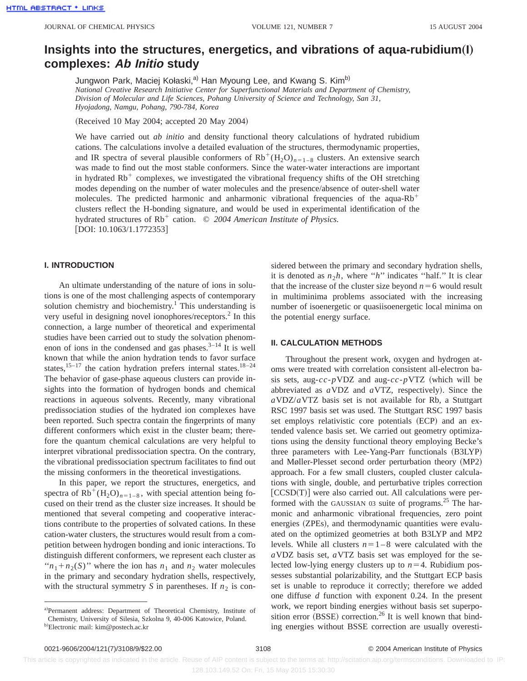# **Insights into the structures, energetics, and vibrations of aqua-rubidium(I) complexes: Ab Initio study**

Jungwon Park, Maciej Kołaski,<sup>a)</sup> Han Myoung Lee, and Kwang S. Kim<sup>b)</sup> *National Creative Research Initiative Center for Superfunctional Materials and Department of Chemistry, Division of Molecular and Life Sciences, Pohang University of Science and Technology, San 31, Hyojadong, Namgu, Pohang, 790-784, Korea*

(Received 10 May 2004; accepted 20 May 2004)

We have carried out *ab initio* and density functional theory calculations of hydrated rubidium cations. The calculations involve a detailed evaluation of the structures, thermodynamic properties, and IR spectra of several plausible conformers of  $Rb^+(H_2O)_{n=1-8}$  clusters. An extensive search was made to find out the most stable conformers. Since the water-water interactions are important in hydrated  $Rb<sup>+</sup>$  complexes, we investigated the vibrational frequency shifts of the OH stretching modes depending on the number of water molecules and the presence/absence of outer-shell water molecules. The predicted harmonic and anharmonic vibrational frequencies of the aqua-Rb<sup>+</sup> clusters reflect the H-bonding signature, and would be used in experimental identification of the hydrated structures of Rb<sup>+</sup> cation. © 2004 American Institute of Physics.  $[DOI: 10.1063/1.1772353]$ 

#### **I. INTRODUCTION**

An ultimate understanding of the nature of ions in solutions is one of the most challenging aspects of contemporary solution chemistry and biochemistry.<sup>1</sup> This understanding is very useful in designing novel ionophores/receptors.2 In this connection, a large number of theoretical and experimental studies have been carried out to study the solvation phenomenon of ions in the condensed and gas phases. $3-14$  It is well known that while the anion hydration tends to favor surface states,  $15-17$  the cation hydration prefers internal states.  $18-24$ The behavior of gase-phase aqueous clusters can provide insights into the formation of hydrogen bonds and chemical reactions in aqueous solvents. Recently, many vibrational predissociation studies of the hydrated ion complexes have been reported. Such spectra contain the fingerprints of many different conformers which exist in the cluster beam; therefore the quantum chemical calculations are very helpful to interpret vibrational predissociation spectra. On the contrary, the vibrational predissociation spectrum facilitates to find out the missing conformers in the theoretical investigations.

In this paper, we report the structures, energetics, and spectra of  $Rb^+(H_2O)_{n=1-8}$ , with special attention being focused on their trend as the cluster size increases. It should be mentioned that several competing and cooperative interactions contribute to the properties of solvated cations. In these cation-water clusters, the structures would result from a competition between hydrogen bonding and ionic interactions. To distinguish different conformers, we represent each cluster as " $n_1 + n_2(S)$ " where the ion has  $n_1$  and  $n_2$  water molecules in the primary and secondary hydration shells, respectively, with the structural symmetry *S* in parentheses. If  $n_2$  is considered between the primary and secondary hydration shells, it is denoted as  $n_2h$ , where "*h*" indicates "half." It is clear that the increase of the cluster size beyond  $n=6$  would result in multiminima problems associated with the increasing number of isoenergetic or quasiisoenergetic local minima on the potential energy surface.

#### **II. CALCULATION METHODS**

Throughout the present work, oxygen and hydrogen atoms were treated with correlation consistent all-electron basis sets, aug- $cc$ - $p$ VDZ and aug- $cc$ - $p$ VTZ (which will be abbreviated as *a*VDZ and *aVTZ*, respectively). Since the *a*VDZ/*a*VTZ basis set is not available for Rb, a Stuttgart RSC 1997 basis set was used. The Stuttgart RSC 1997 basis set employs relativistic core potentials (ECP) and an extended valence basis set. We carried out geometry optimizations using the density functional theory employing Becke's three parameters with Lee-Yang-Parr functionals (B3LYP) and Møller-Plesset second order perturbation theory (MP2) approach. For a few small clusters, coupled cluster calculations with single, double, and perturbative triples correction [CCSD(T)] were also carried out. All calculations were performed with the GAUSSIAN 03 suite of programs.<sup>25</sup> The harmonic and anharmonic vibrational frequencies, zero point energies (ZPEs), and thermodynamic quantities were evaluated on the optimized geometries at both B3LYP and MP2 levels. While all clusters  $n=1-8$  were calculated with the *a*VDZ basis set, *a*VTZ basis set was employed for the selected low-lying energy clusters up to  $n=4$ . Rubidium possesses substantial polarizability, and the Stuttgart ECP basis set is unable to reproduce it correctly; therefore we added one diffuse *d* function with exponent 0.24. In the present work, we report binding energies without basis set superposition error  $(BSSE)$  correction.<sup>26</sup> It is well known that binding energies without BSSE correction are usually overesti-

a)Permanent address: Department of Theoretical Chemistry, Institute of Chemistry, University of Silesia, Szkolna 9, 40-006 Katowice, Poland.

<sup>&</sup>lt;sup>b)</sup>Electronic mail: kim@postech.ac.kr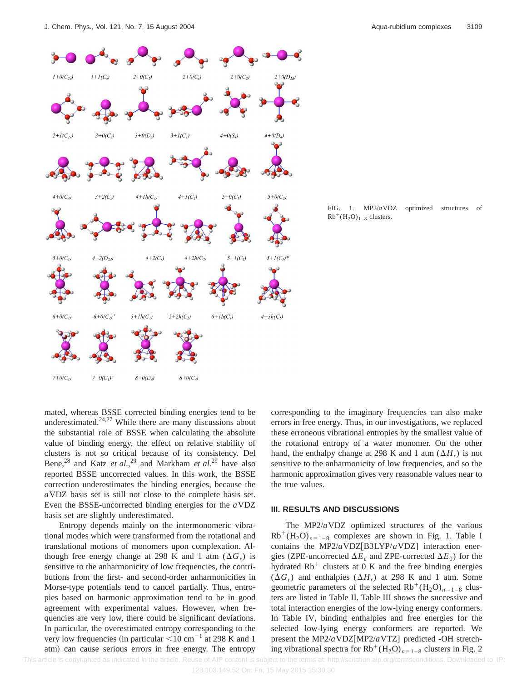

FIG. 1. MP2/*a*VDZ optimized structures of  $Rb^+(H_2O)_{1-8}$  clusters.

mated, whereas BSSE corrected binding energies tend to be underestimated. $24,27$  While there are many discussions about the substantial role of BSSE when calculating the absolute value of binding energy, the effect on relative stability of clusters is not so critical because of its consistency. Del Bene,<sup>28</sup> and Katz *et al.*,<sup>29</sup> and Markham *et al.*<sup>29</sup> have also reported BSSE uncorrected values. In this work, the BSSE correction underestimates the binding energies, because the *a*VDZ basis set is still not close to the complete basis set. Even the BSSE-uncorrected binding energies for the *a*VDZ basis set are slightly underestimated.

Entropy depends mainly on the intermonomeric vibrational modes which were transformed from the rotational and translational motions of monomers upon complexation. Although free energy change at 298 K and 1 atm  $(\Delta G_r)$  is sensitive to the anharmonicity of low frequencies, the contributions from the first- and second-order anharmonicities in Morse-type potentials tend to cancel partially. Thus, entropies based on harmonic approximation tend to be in good agreement with experimental values. However, when frequencies are very low, there could be significant deviations. In particular, the overestimated entropy corresponding to the very low frequencies (in particular  $\leq 10 \text{ cm}^{-1}$  at 298 K and 1 atm) can cause serious errors in free energy. The entropy corresponding to the imaginary frequencies can also make errors in free energy. Thus, in our investigations, we replaced these erroneous vibrational entropies by the smallest value of the rotational entropy of a water monomer. On the other hand, the enthalpy change at 298 K and 1 atm  $(\Delta H_r)$  is not sensitive to the anharmonicity of low frequencies, and so the harmonic approximation gives very reasonable values near to the true values.

#### **III. RESULTS AND DISCUSSIONS**

The MP2/*a*VDZ optimized structures of the various  $Rb^+(H_2O)_{n=1-8}$  complexes are shown in Fig. 1. Table I contains the MP2/*a*VDZ[B3LYP/*aVDZ*] interaction energies (ZPE-uncorrected  $\Delta E_e$  and ZPE-corrected  $\Delta E_0$ ) for the hydrated  $Rb<sup>+</sup>$  clusters at 0 K and the free binding energies  $(\Delta G_r)$  and enthalpies  $(\Delta H_r)$  at 298 K and 1 atm. Some geometric parameters of the selected  $Rb^{+}(H<sub>2</sub>O)<sub>n=1–8</sub>$  clusters are listed in Table II. Table III shows the successive and total interaction energies of the low-lying energy conformers. In Table IV, binding enthalpies and free energies for the selected low-lying energy conformers are reported. We present the MP2/*a*VDZ[MP2/*aVTZ*] predicted -OH stretching vibrational spectra for  $Rb^+(H_2O)_{n=1-8}$  clusters in Fig. 2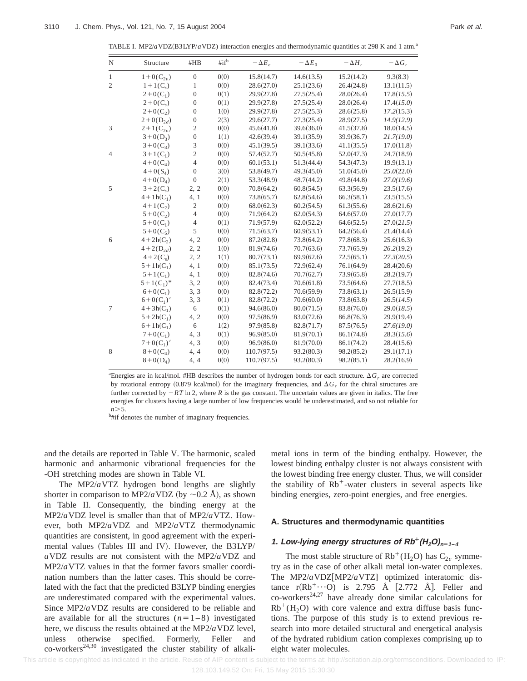| TABLE I. MP2/aVDZ(B3LYP/aVDZ) interaction energies and thermodynamic quantities at 298 K and 1 atm. <sup>a</sup> |  |  |  |  |
|------------------------------------------------------------------------------------------------------------------|--|--|--|--|
|------------------------------------------------------------------------------------------------------------------|--|--|--|--|

| N              | Structure     | #HB                         | $\#$ if <sup>b</sup> | $-\Delta E_e$ | $-\Delta E_0$ | $-\Delta H_r$ | $-\Delta G_r$ |
|----------------|---------------|-----------------------------|----------------------|---------------|---------------|---------------|---------------|
| $\mathbf{1}$   | $1+0(C_{2n})$ | $\boldsymbol{0}$            | 0(0)                 | 15.8(14.7)    | 14.6(13.5)    | 15.2(14.2)    | 9.3(8.3)      |
| $\overline{2}$ | $1+1(C_s)$    | 1                           | 0(0)                 | 28.6(27.0)    | 25.1(23.6)    | 26.4(24.8)    | 13.1(11.5)    |
|                | $2+0(C_1)$    | $\boldsymbol{0}$            | 0(1)                 | 29.9(27.8)    | 27.5(25.4)    | 28.0(26.4)    | 17.8(15.5)    |
|                | $2+0(C_s)$    | $\boldsymbol{0}$            | 0(1)                 | 29.9(27.8)    | 27.5(25.4)    | 28.0(26.4)    | 17.4(15.0)    |
|                | $2+0(C_2)$    | $\boldsymbol{0}$            | 1(0)                 | 29.9(27.8)    | 27.5(25.3)    | 28.6(25.8)    | 17.2(15.3)    |
|                | $2+0(D_{2d})$ | $\boldsymbol{0}$            | 2(3)                 | 29.6(27.7)    | 27.3(25.4)    | 28.9(27.5)    | 14.9(12.9)    |
| 3              | $2+1(C_{2v})$ | $\sqrt{2}$                  | 0(0)                 | 45.6(41.8)    | 39.6(36.0)    | 41.5(37.8)    | 18.0(14.5)    |
|                | $3+0(D_3)$    | $\boldsymbol{0}$            | 1(1)                 | 42.6(39.4)    | 39.1(35.9)    | 39.9(36.7)    | 21.7(19.0)    |
|                | $3+0(C_3)$    | $\ensuremath{\mathfrak{Z}}$ | 0(0)                 | 45.1(39.5)    | 39.1(33.6)    | 41.1(35.5)    | 17.0(11.8)    |
| $\overline{4}$ | $3+1(C_1)$    | $\sqrt{2}$                  | 0(0)                 | 57.4(52.7)    | 50.5(45.8)    | 52.0(47.3)    | 24.7(18.9)    |
|                | $4+0(C_4)$    | $\overline{4}$              | 0(0)                 | 60.1(53.1)    | 51.3(44.4)    | 54.3(47.3)    | 19.9(13.1)    |
|                | $4 + O(S_4)$  | $\overline{0}$              | 3(0)                 | 53.8(49.7)    | 49.3(45.0)    | 51.0(45.0)    | 25.0(22.0)    |
|                | $4+0(D_4)$    | $\overline{0}$              | 2(1)                 | 53.3(48.9)    | 48.7(44.2)    | 49.8(44.8)    | 27.0(19.6)    |
| 5              | $3+2(C_s)$    | 2, 2                        | 0(0)                 | 70.8(64.2)    | 60.8(54.5)    | 63.3(56.9)    | 23.5(17.6)    |
|                | $4 + 1h(C_1)$ | 4, 1                        | 0(0)                 | 73.8(65.7)    | 62.8(54.6)    | 66.3(58.1)    | 23.5(15.5)    |
|                | $4+1(C_2)$    | $\mathfrak{2}$              | 0(0)                 | 68.0(62.3)    | 60.2(54.5)    | 61.3(55.6)    | 28.6(21.6)    |
|                | $5 + 0(C_2)$  | $\overline{4}$              | 0(0)                 | 71.9(64.2)    | 62.0(54.3)    | 64.6(57.0)    | 27.0(17.7)    |
|                | $5+0(C_1)$    | $\overline{4}$              | 0(1)                 | 71.9(57.9)    | 62.0(52.2)    | 64.6(52.5)    | 27.0(21.5)    |
|                | $5+0(C_5)$    | 5                           | 0(0)                 | 71.5(63.7)    | 60.9(53.1)    | 64.2(56.4)    | 21.4(14.4)    |
| 6              | $4 + 2h(C_2)$ | 4, 2                        | 0(0)                 | 87.2(82.8)    | 73.8(64.2)    | 77.8(68.3)    | 25.6(16.3)    |
|                | $4+2(D_{2d})$ | 2, 2                        | 1(0)                 | 81.9(74.6)    | 70.7(63.6)    | 73.7(65.9)    | 26.2(19.2)    |
|                | $4 + 2(C_s)$  | 2, 2                        | 1(1)                 | 80.7(73.1)    | 69.9(62.6)    | 72.5(65.1)    | 27.3(20.5)    |
|                | $5 + 1h(C_1)$ | 4, 1                        | 0(0)                 | 85.1(73.5)    | 72.9(62.4)    | 76.1(64.9)    | 28.4(20.6)    |
|                | $5+1(C_1)$    | 4, 1                        | 0(0)                 | 82.8(74.6)    | 70.7(62.7)    | 73.9(65.8)    | 28.2(19.7)    |
|                | $5+1(C_1)^*$  | 3, 2                        | 0(0)                 | 82.4(73.4)    | 70.6(61.8)    | 73.5(64.6)    | 27.7(18.5)    |
|                | $6+0(C_1)$    | 3, 3                        | 0(0)                 | 82.8(72.2)    | 70.6(59.9)    | 73.8(63.1)    | 26.5(15.9)    |
|                | $6+0(C_1)'$   | 3, 3                        | 0(1)                 | 82.8(72.2)    | 70.6(60.0)    | 73.8(63.8)    | 26.5(14.5)    |
| 7              | $4 + 3h(C_1)$ | 6                           | 0(1)                 | 94.6(86.0)    | 80.0(71.5)    | 83.8(76.0)    | 29.0(18.5)    |
|                | $5 + 2h(C_1)$ | 4, 2                        | 0(0)                 | 97.5(86.9)    | 83.0(72.6)    | 86.8(76.3)    | 29.9(19.4)    |
|                | $6 + 1h(C_1)$ | 6                           | 1(2)                 | 97.9(85.8)    | 82.8(71.7)    | 87.5(76.5)    | 27.6(19.0)    |
|                | $7+0(C_1)$    | 4, 3                        | 0(1)                 | 96.9(85.0)    | 81.9(70.1)    | 86.1(74.8)    | 28.3(15.6)    |
|                | $7+0(C_1)'$   | 4, 3                        | 0(0)                 | 96.9(86.0)    | 81.9(70.0)    | 86.1(74.2)    | 28.4(15.6)    |
| 8              | $8 + 0(C_4)$  | 4, 4                        | 0(0)                 | 110.7(97.5)   | 93.2(80.3)    | 98.2(85.2)    | 29.1(17.1)    |
|                | $8 + 0(D_4)$  | 4, 4                        | 0(0)                 | 110.7(97.5)   | 93.2(80.3)    | 98.2(85.1)    | 28.2(16.9)    |

a Energies are in kcal/mol. #HB describes the number of hydrogen bonds for each structure. Δ $G<sub>r</sub>$  are corrected by rotational entropy  $(0.879 \text{ kcal/mol})$  for the imaginary frequencies, and  $\Delta G_r$  for the chiral structures are further corrected by  $-RT \ln 2$ , where *R* is the gas constant. The uncertain values are given in italics. The free energies for clusters having a large number of low frequencies would be underestimated, and so not reliable for  $n > 5$ .

<sup>b</sup>#if denotes the number of imaginary frequencies.

and the details are reported in Table V. The harmonic, scaled harmonic and anharmonic vibrational frequencies for the -OH stretching modes are shown in Table VI.

The MP2/*a*VTZ hydrogen bond lengths are slightly shorter in comparison to MP2/*a* VDZ (by  $\sim$ 0.2 Å), as shown in Table II. Consequently, the binding energy at the MP2/*a*VDZ level is smaller than that of MP2/*a*VTZ. However, both MP2/*a*VDZ and MP2/*a*VTZ thermodynamic quantities are consistent, in good agreement with the experimental values (Tables III and IV). However, the B3LYP/ *a*VDZ results are not consistent with the MP2/*a*VDZ and MP2/*a*VTZ values in that the former favors smaller coordination numbers than the latter cases. This should be correlated with the fact that the predicted B3LYP binding energies are underestimated compared with the experimental values. Since MP2/*a*VDZ results are considered to be reliable and are available for all the structures  $(n=1-8)$  investigated here, we discuss the results obtained at the MP2/*a*VDZ level, unless otherwise specified. Formerly, Feller and  $co$ -workers<sup>24,30</sup> investigated the cluster stability of alkalimetal ions in term of the binding enthalpy. However, the lowest binding enthalpy cluster is not always consistent with the lowest binding free energy cluster. Thus, we will consider the stability of  $Rb^+$ -water clusters in several aspects like binding energies, zero-point energies, and free energies.

### **A. Structures and thermodynamic quantities**

#### **1. Low-lying energy structures of**  $Rb^{+}(H_{2}O)_{n=1-4}$

The most stable structure of  $Rb^+(H_2O)$  has  $C_{2v}$  symmetry as in the case of other alkali metal ion-water complexes. The MP2/*a*VDZ[MP2/*aVTZ]* optimized interatomic distance  $r(Rb^+\cdots O)$  is 2.795 Å [2.772 Å]. Feller and  $\text{co-workers}^{24,27}$  have already done similar calculations for  $Rb^+(H_2O)$  with core valence and extra diffuse basis functions. The purpose of this study is to extend previous research into more detailed structural and energetical analysis of the hydrated rubidium cation complexes comprising up to eight water molecules.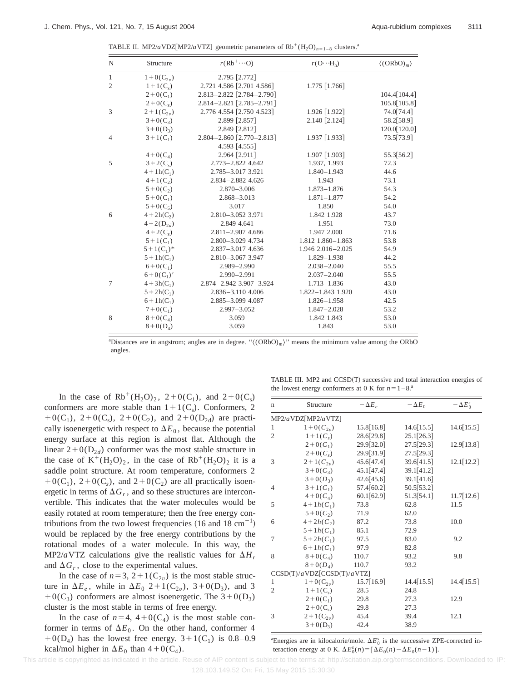TABLE II. MP2/*a* VDZ[MP2/*a* VTZ] geometric parameters of  $Rb^{+}(H_{2}O)_{n=1-8}$  clusters.<sup>a</sup>

| $\mathbf N$    | Structure      | $r(Rb^+\cdots O)$             | $r(\mathrm{O}\cdots H_{h})$ | $\langle (ORbO)m \rangle$ |
|----------------|----------------|-------------------------------|-----------------------------|---------------------------|
| $\mathbf{1}$   | $1+0(C_{2n})$  | 2.795 [2.772]                 |                             |                           |
| $\overline{2}$ | $1+1(C_s)$     | 2.721 4.586 [2.701 4.586]     | 1.775 [1.766]               |                           |
|                | $2+0(C_1)$     | 2.813-2.822 [2.784-2.790]     |                             | 104.4 [104.4]             |
|                | $2+0(C_s)$     | 2.814-2.821 [2.785-2.791]     |                             | 105.8 [105.8]             |
| 3              | $2+1(C_{2v})$  | 2.776 4.554 [2.750 4.523]     | 1.926 [1.922]               | 74.0 [74.4]               |
|                | $3+0(C_3)$     | 2.899 [2.857]                 | 2.140 [2.124]               | 58.2[58.9]                |
|                | $3+0(D_3)$     | 2.849 [2.812]                 |                             | 120.0[120.0]              |
| $\overline{4}$ | $3+1(C_1)$     | $2.804 - 2.860$ [2.770-2.813] | 1.937 [1.933]               | 73.5 73.9                 |
|                |                | 4.593 [4.555]                 |                             |                           |
|                | $4+0(C_4)$     | 2.964 [2.911]                 | 1.907 [1.903]               | 55.3 [56.2]               |
| 5              | $3+2(C_s)$     | 2.773-2.822 4.642             | 1.937, 1.993                | 72.3                      |
|                | $4 + 1 h(C_1)$ | 2.785-3.017 3.921             | $1.840 - 1.943$             | 44.6                      |
|                | $4+1(C_2)$     | 2.834-2.882 4.626             | 1.943                       | 73.1                      |
|                | $5+0(C_2)$     | $2.870 - 3.006$               | $1.873 - 1.876$             | 54.3                      |
|                | $5+0(C_1)$     | $2.868 - 3.013$               | $1.871 - 1.877$             | 54.2                      |
|                | $5+0(C_5)$     | 3.017                         | 1.850                       | 54.0                      |
| 6              | $4 + 2h(C_2)$  | 2.810-3.052 3.971             | 1.842 1.928                 | 43.7                      |
|                | $4+2(D_{2d})$  | 2.849 4.641                   | 1.951                       | 73.0                      |
|                | $4+2(C_s)$     | $2.811 - 2.907$ 4.686         | 1.947 2.000                 | 71.6                      |
|                | $5+1(C_1)$     | 2.800-3.029 4.734             | 1.812 1.860-1.863           | 53.8                      |
|                | $5+1(C_1)^*$   | 2.837-3.017 4.636             | 1.946 2.016 - 2.025         | 54.9                      |
|                | $5 + 1h(C_1)$  | 2.810-3.067 3.947             | $1.829 - 1.938$             | 44.2                      |
|                | $6+0(C_1)$     | $2.989 - 2.990$               | $2.038 - 2.040$             | 55.5                      |
|                | $6+0(C_1)'$    | $2.990 - 2.991$               | $2.037 - 2.040$             | 55.5                      |
| 7              | $4 + 3h(C_1)$  | 2.874-2.942 3.907-3.924       | $1.713 - 1.836$             | 43.0                      |
|                | $5 + 2h(C_1)$  | 2.836-3.110 4.006             | 1.822-1.843 1.920           | 43.0                      |
|                | $6+1h(C_1)$    | 2.885-3.099 4.087             | $1.826 - 1.958$             | 42.5                      |
|                | $7+0(C_1)$     | $2.997 - 3.052$               | $1.847 - 2.028$             | 53.2                      |
| 8              | $8 + 0(C_4)$   | 3.059                         | 1.842 1.843                 | 53.0                      |
|                | $8 + 0(D_4)$   | 3.059                         | 1.843                       | 53.0                      |

<sup>a</sup>Distances are in angstrom; angles are in degree. " $\langle (ORbO)_{m} \rangle$ " means the minimum value among the ORbO angles.

In the case of  $Rb^+(H_2O)_2$ ,  $2+0(C_1)$ , and  $2+0(C_s)$ conformers are more stable than  $1+1(C<sub>s</sub>)$ . Conformers, 2  $+0(C_1)$ ,  $2+0(C_s)$ ,  $2+0(C_2)$ , and  $2+0(D_{2d})$  are practically isoenergetic with respect to  $\Delta E_0$ , because the potential energy surface at this region is almost flat. Although the linear  $2+0(D_{2d})$  conformer was the most stable structure in the case of  $K^+(H_2O)_2$ , in the case of  $Rb^+(H_2O)_2$  it is a saddle point structure. At room temperature, conformers 2  $+0(C_1)$ ,  $2+0(C_s)$ , and  $2+0(C_2)$  are all practically isoenergetic in terms of  $\Delta G_r$ , and so these structures are interconvertible. This indicates that the water molecules would be easily rotated at room temperature; then the free energy contributions from the two lowest frequencies  $(16 \text{ and } 18 \text{ cm}^{-1})$ would be replaced by the free energy contributions by the rotational modes of a water molecule. In this way, the MP2/*a* VTZ calculations give the realistic values for  $\Delta H_r$ and  $\Delta G_r$ , close to the experimental values.

In the case of  $n=3$ ,  $2+1(C_{2v})$  is the most stable structure in  $\Delta E_e$ , while in  $\Delta E_0$  2+1(C<sub>2*v*</sub>), 3+0(D<sub>3</sub>), and 3  $+0(C_3)$  conformers are almost isoenergetic. The  $3+0(D_3)$ cluster is the most stable in terms of free energy.

In the case of  $n=4$ ,  $4+0(C_4)$  is the most stable conformer in terms of  $\Delta E_0$ . On the other hand, conformer 4  $+0(D_4)$  has the lowest free energy.  $3+1(C_1)$  is 0.8–0.9 kcal/mol higher in  $\Delta E_0$  than  $4+0(C_4)$ .

TABLE III. MP2 and CCSD(T) successive and total interaction energies of the lowest energy conformers at 0 K for  $n=1-8$ .<sup>a</sup>

| n              | Structure                  | $-\Delta E_{e}$ | $-\Delta E_0$ | $-\Delta E_0^s$ |  |  |
|----------------|----------------------------|-----------------|---------------|-----------------|--|--|
|                | MP2/aVDZ[MP2/aVTZ]         |                 |               |                 |  |  |
| 1              | $1+0(C_{2v})$              | 15.8 [16.8]     | $14.6$ [15.5] | 14.6[15.5]      |  |  |
| $\overline{c}$ | $1+1(C_s)$                 | 28.6 [29.8]     | 25.1[26.3]    |                 |  |  |
|                | $2+0(C_1)$                 | 29.9 [32.0]     | 27.5[29.3]    | 12.9 [13.8]     |  |  |
|                | $2+0(C_s)$                 | 29.9[31.9]      | 27.5 [29.3]   |                 |  |  |
| 3              | $2+1(C_{2v})$              | 45.6[47.4]      | 39.6[41.5]    | 12.1[12.2]      |  |  |
|                | $3+0(C_3)$                 | 45.1[47.4]      | 39.1[41.2]    |                 |  |  |
|                | $3+0(D_3)$                 | 42.6[45.6]      | 39.1[41.6]    |                 |  |  |
| $\overline{4}$ | $3+1(C_1)$                 | 57.4 [60.2]     | 50.5[53.2]    |                 |  |  |
|                | $4+0(C_4)$                 | 60.1[62.9]      | 51.3[54.1]    | 11.7[12.6]      |  |  |
| 5              | $4+1h(C_1)$                | 73.8            | 62.8          | 11.5            |  |  |
|                | $5+0(C_2)$                 | 71.9            | 62.0          |                 |  |  |
| 6              | $4+2h(C_2)$                | 87.2            | 73.8          | 10.0            |  |  |
|                | $5+1h(C_1)$                | 85.1            | 72.9          |                 |  |  |
| 7              | $5+2h(C_1)$                | 97.5            | 83.0          | 9.2             |  |  |
|                | $6+1h(C_1)$                | 97.9            | 82.8          |                 |  |  |
| 8              | $8 + 0(C_4)$               | 110.7           | 93.2          | 9.8             |  |  |
|                | $8 + 0(D_4)$               | 110.7           | 93.2          |                 |  |  |
|                | CCSD(T)/aVDZ[CCSD(T)/aVTZ] |                 |               |                 |  |  |
| 1              | $1+0(C_{2n})$              | 15.7 [16.9]     | 14.4[15.5]    | 14.4[15.5]      |  |  |
| $\overline{2}$ | $1 + 1(C_s)$               | 28.5            | 24.8          |                 |  |  |
|                | $2+0(C_1)$                 | 29.8            | 27.3          | 12.9            |  |  |
|                | $2+0(C_s)$                 | 29.8            | 27.3          |                 |  |  |
| 3              | $2+1(C_{2n})$              | 45.4            | 39.4          | 12.1            |  |  |
|                | $3+0(D_3)$                 | 42.4            | 38.9          |                 |  |  |

<sup>a</sup> Energies are in kilocalorie/mole.  $\Delta E_0^s$  is the successive ZPE-corrected interaction energy at 0 K.  $\Delta E_0^s(n) = [\Delta E_0(n) - \Delta E_0(n-1)].$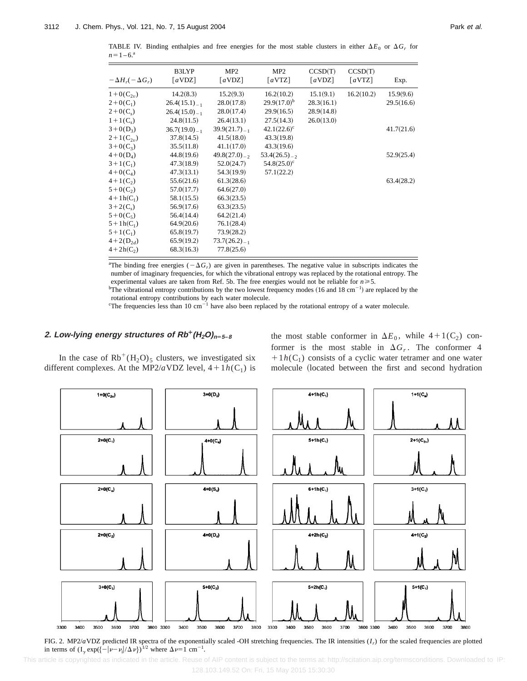TABLE IV. Binding enthalpies and free energies for the most stable clusters in either  $\Delta E_0$  or  $\Delta G_r$  for  $n=1-6$ .<sup>a</sup>

| 16.2(10.2)<br>15.1(9.1)<br>16.2(10.2)<br>14.2(8.3)<br>15.2(9.3)<br>$1+0(C_{2n})$  | 15.9(9.6)<br>29.5(16.6) |
|-----------------------------------------------------------------------------------|-------------------------|
|                                                                                   |                         |
| $29.9(17.0)^{b}$<br>28.0(17.8)<br>28.3(16.1)<br>$2+0(C_1)$<br>$26.4(15.1)_{-1}$   |                         |
| 28.0(17.4)<br>29.9(16.5)<br>28.9(14.8)<br>$2+0(C_s)$<br>$26.4(15.0)_{-1}$         |                         |
| 27.5(14.3)<br>24.8(11.5)<br>26.4(13.1)<br>26.0(13.0)<br>$1 + 1(C_s)$              |                         |
| $42.1(22.6)$ <sup>c</sup><br>$3+0(D_3)$<br>$39.9(21.7)_{-1}$<br>$36.7(19.0)_{-1}$ | 41.7(21.6)              |
| 37.8(14.5)<br>41.5(18.0)<br>43.3(19.8)<br>$2+1(C_{2n})$                           |                         |
| 35.5(11.8)<br>41.1(17.0)<br>43.3(19.6)<br>$3+0(C_3)$                              |                         |
| 44.8(19.6)<br>$49.8(27.0)_{-2}$<br>$53.4(26.5)_{-2}$<br>$4+0(D_4)$                | 52.9(25.4)              |
| 47.3(18.9)<br>52.0(24.7)<br>$54.8(25.0)^{\circ}$<br>$3+1(C_1)$                    |                         |
| 47.3(13.1)<br>54.3(19.9)<br>57.1(22.2)<br>$4+0(C_4)$                              |                         |
| 55.6(21.6)<br>61.3(28.6)<br>$4+1(C_2)$                                            | 63.4(28.2)              |
| 64.6(27.0)<br>$5 + 0(C_2)$<br>57.0(17.7)                                          |                         |
| 58.1(15.5)<br>$4 + 1h(C_1)$<br>66.3(23.5)                                         |                         |
| $3+2(C_s)$<br>56.9(17.6)<br>63.3(23.5)                                            |                         |
| $5+0(C_5)$<br>56.4(14.4)<br>64.2(21.4)                                            |                         |
| $5 + 1h(C_1)$<br>64.9(20.6)<br>76.1(28.4)                                         |                         |
| 65.8(19.7)<br>$5+1(C_1)$<br>73.9(28.2)                                            |                         |
| 65.9(19.2)<br>$73.7(26.2)_{-1}$<br>$4+2(D_{2d})$                                  |                         |
| 77.8(25.6)<br>$4 + 2h(C_2)$<br>68.3(16.3)                                         |                         |

<sup>a</sup>The binding free energies  $(-\Delta G_r)$  are given in parentheses. The negative value in subscripts indicates the number of imaginary frequencies, for which the vibrational entropy was replaced by the rotational entropy. The experimental values are taken from Ref. 5b. The free energies would not be reliable for  $n \ge 5$ .

<sup>b</sup>The vibrational entropy contributions by the two lowest frequency modes (16 and 18 cm<sup>-1</sup>) are replaced by the rotational entropy contributions by each water molecule.

<sup>c</sup>The frequencies less than 10 cm<sup>-1</sup> have also been replaced by the rotational entropy of a water molecule.

## 2. Low-lying energy structures of  $Rb^{+}(H_{2}O)_{n=5-8}$

In the case of  $Rb^+(H_2O)_5$  clusters, we investigated six different complexes. At the MP2/*a*VDZ level,  $4+1h(C_1)$  is the most stable conformer in  $\Delta E_0$ , while  $4+1(C_2)$  conformer is the most stable in  $\Delta G_r$ . The conformer 4  $1/h(C_1)$  consists of a cyclic water tetramer and one water molecule (located between the first and second hydration



FIG. 2. MP2/*a*VDZ predicted IR spectra of the exponentially scaled -OH stretching frequencies. The IR intensities (*Ir*) for the scaled frequencies are plotted in terms of  $(I_{\gamma} \exp(\{-|\nu - \nu_i|/\Delta \nu\})^{1/2}$  where  $\Delta \nu = 1$  cm<sup>-1</sup>.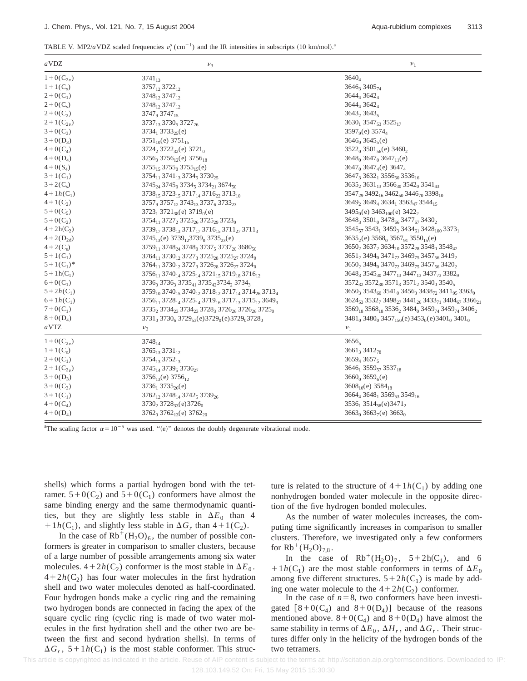| TABLE V. MP2/aVDZ scaled frequencies $v_i^s$ (cm <sup>-1</sup> ) and the IR intensities in subscripts (10 km/mol). <sup>3</sup> |  |
|---------------------------------------------------------------------------------------------------------------------------------|--|
|---------------------------------------------------------------------------------------------------------------------------------|--|

| aVDZ            | $v_3$                                                                                                                               | $v_1$                                                                                                                             |
|-----------------|-------------------------------------------------------------------------------------------------------------------------------------|-----------------------------------------------------------------------------------------------------------------------------------|
| $1 + O(C_{2v})$ | $3741_{13}$                                                                                                                         | $3640_4$                                                                                                                          |
| $1+1(C_s)$      | 3757 <sub>12</sub> 3722 <sub>12</sub>                                                                                               | $3646_33405_{74}$                                                                                                                 |
| $2+0(C_1)$      | $3748_{12} 3747_{12}$                                                                                                               | 3644 <sub>4</sub> 3642 <sub>4</sub>                                                                                               |
| $2+0(C_s)$      | 3748 <sub>12</sub> 3747 <sub>12</sub>                                                                                               | $3644_43642_4$                                                                                                                    |
| $2+0(C_2)$      | $3747_9$ $3747_{15}$                                                                                                                | 3643, 3643,                                                                                                                       |
| $2+1(C_{2v})$   | $3737_{13} 3730_5 3727_{26}$                                                                                                        | $3630_1 3547_{53} 3525_{17}$                                                                                                      |
| $3+0(C_3)$      | $3734_1 3733_{25}(e)$                                                                                                               | $3597_9(e) 3574_4$                                                                                                                |
| $3+0(D_3)$      | $3751_{10}(e) 3751_{15}$                                                                                                            | $3646_0 3645_5$ (e)                                                                                                               |
| $4+0(C_4)$      | 3724, 3722 <sub>32</sub> (e) 3721 <sub>0</sub>                                                                                      | $3522_0 3501_{56}(e) 3460_2$                                                                                                      |
| $4+0(D_4)$      | $3756_0 3756_{12}(e) 3756_{18}$                                                                                                     | $3648_0$ $3647_0$ $3647_{11}(e)$                                                                                                  |
| $4+0(S_4)$      | $3755_{15}$ 3755 <sub>0</sub> 3755 <sub>15</sub> (e)                                                                                | $3647_0$ 3647 <sub>4</sub> (e) 3647 <sub>4</sub>                                                                                  |
| $3+1(C_1)$      | $3754_{11}$ $3741_{13}$ $3734_5$ $3730_{25}$                                                                                        | $3647_33632_13556_{50}3536_{16}$                                                                                                  |
| $3+2(C_s)$      | $3745_{24}$ $3745_{0}$ $3734_{5}$ $3734_{21}$ $3674_{50}$                                                                           | $3635_2$ 3631 <sub>13</sub> 3566 <sub>30</sub> 3542 <sub>0</sub> 3541 <sub>43</sub>                                               |
| $4+1h(C_1)$     | 3738 <sub>15</sub> 3723 <sub>15</sub> 3717 <sub>14</sub> 3716 <sub>22</sub> 3713 <sub>10</sub>                                      | 3547 <sub>29</sub> 3492 <sub>16</sub> 3462 <sub>50</sub> 3446 <sub>70</sub> 3398 <sub>10</sub>                                    |
| $4+1(C_2)$      | 3757 <sub>9</sub> 3757 <sub>12</sub> 3743 <sub>13</sub> 3737 <sub>6</sub> 3733 <sub>23</sub>                                        | 3649 <sub>2</sub> 3649 <sub>4</sub> 3634 <sub>1</sub> 3563 <sub>47</sub> 3544 <sub>15</sub>                                       |
| $5 + 0(C_5)$    | $3723_1 3721_{38}(e) 3719_0(e)$                                                                                                     | $3495_0$ (e) $3463_{100}$ (e) $3422_2$                                                                                            |
| $5+0(C_2)$      | 3754 <sub>11</sub> 3727 <sub>2</sub> 3725 <sub>26</sub> 3725 <sub>29</sub> 3723 <sub>0</sub>                                        | 3648, 3501 <sub>0</sub> 3478 <sub>66</sub> 3477 <sub>67</sub> 3430 <sub>2</sub>                                                   |
| $4 + 2h(C_2)$   | $3739_{17}$ $3738_{13}$ $3717_{17}$ $3716_{15}$ $3711_{27}$ $3711_{37}$                                                             | $3545_{57}$ $3543_1$ $3459_3$ $3434_{61}$ $3428_{100}$ $3373_1$                                                                   |
| $4+2(D_{2d})$   | $3745_{13}(e)$ $3739_{12}3739_0$ $3735_{23}(e)$                                                                                     | $36352(e) 35680 356791 355015(e)$                                                                                                 |
| $4+2(C_s)$      | $3759_{11}$ $3748_{24}$ $3748_0$ $3737_5$ $3737_{20}$ $3680_{50}$                                                                   | $3650_2$ , $3637_2$ , $3634_{10}$ , $3572_{28}$ , $3548_0$ , $3548_{42}$                                                          |
| $5+1(C_1)$      | 3764 <sub>11</sub> 3730 <sub>12</sub> 3727 <sub>3</sub> 3725 <sub>28</sub> 3725 <sub>27</sub> 3724 <sub>0</sub>                     | 3651 <sub>2</sub> 3494 <sub>0</sub> 3471 <sub>72</sub> 3469 <sub>75</sub> 3457 <sub>56</sub> 3419 <sub>2</sub>                    |
| $5+1(C_1)^*$    | 3764 <sub>11</sub> 3730 <sub>12</sub> 3727 <sub>3</sub> 3726 <sub>28</sub> 3726 <sub>27</sub> 3724 <sub>0</sub>                     | $3650_2$ , $3494_0$ , $3470_7$ , $3469_7$ , $3457_{56}$ , $3420_2$                                                                |
| $5 + 1h(C_1)$   | $3756_{11}$ $3740_{14}$ $3725_{14}$ $3721_{15}$ $3719_{18}$ $3716_{12}$                                                             | 3648, 3545 <sub>30</sub> 3477 <sub>13</sub> 3447 <sub>13</sub> 3437 <sub>73</sub> 3382 <sub>9</sub>                               |
| $6 + 0(C_1)$    | 3736 <sub>0</sub> 3736 <sub>3</sub> 3735 <sub>41</sub> 3735 <sub>42</sub> 3734 <sub>2</sub> 3734 <sub>3</sub>                       | $3572_{32}$ $3572_{30}$ $3571_3$ $3571_2$ $3540_0$ $3540_5$                                                                       |
| $5 + 2h(C_1)$   | 3759 <sub>10</sub> 3740 <sub>15</sub> 3740 <sub>12</sub> 3718 <sub>12</sub> 3717 <sub>14</sub> 3714 <sub>26</sub> 3713 <sub>4</sub> | $3650_3 3543_{60} 3541_0 3456_3 3438_{72} 3411_{95} 3363_0$                                                                       |
| $6+1h(C_1)$     | 3756 <sub>11</sub> 3728 <sub>14</sub> 3725 <sub>14</sub> 3719 <sub>16</sub> 3717 <sub>13</sub> 3715 <sub>12</sub> 3649 <sub>3</sub> | $3624_{53}3532_73498_{27}3441_{26}3433_{71}3404_{67}3366_{21}$                                                                    |
| $7 + 0(C_1)$    | $3735, 3734, 3734, 3728, 3726, 3726, 3725,$                                                                                         | 3569 <sub>18</sub> 3568 <sub>18</sub> 3536 <sub>2</sub> 3484 <sub>0</sub> 3459 <sub>74</sub> 3459 <sub>74</sub> 3406 <sub>2</sub> |
| $8 + 0(D_4)$    | $3731_0 3730_6 3729_{53}(e)3729_0(e)3729_03728_0$                                                                                   | $3481_0$ , $3480_0$ , $3457_{150}(e)$ , $3453_0(e)$ , $3401_0$ , $3401_0$                                                         |
| a VTZ           | $v_3$                                                                                                                               | $\nu_1$                                                                                                                           |
| $1 + O(C_{2v})$ | $3748_{14}$                                                                                                                         | $3656_5$                                                                                                                          |
| $1+1(C_s)$      | $3765_{13}3731_{12}$                                                                                                                | 3661 <sub>3</sub> 3412 <sub>78</sub>                                                                                              |
| $2+0(C_1)$      | 3754 <sub>13</sub> 3752 <sub>13</sub>                                                                                               | $3659_43657_5$                                                                                                                    |
| $2+1(C_{2v})$   | $3745_{14} 3739_5 3736_{27}$                                                                                                        | $3646_1 3559_{57} 3537_{18}$                                                                                                      |
| $3+0(D_3)$      | $3756_{13}(e) 3756_{12}$                                                                                                            | $3660_0 3659_6$ (e)                                                                                                               |
| $3+0(C_3)$      | $3736_1 3735_{26}(e)$                                                                                                               | $3608_{10}(e) 3584_{18}$                                                                                                          |
| $3+1(C_1)$      | $3762_{12}$ , $3748_{14}$ , $3742_{5}$ , $3739_{26}$                                                                                | $3664_4$ 3648 <sub>1</sub> 3569 <sub>53</sub> 3549 <sub>16</sub>                                                                  |
| $4+0(C_4)$      | $3730_2$ , $3728_{33}$ (e) $3726_0$                                                                                                 | $3536_1 3514_{58}(e)3471_2$                                                                                                       |
| $4+0(D_4)$      | 3762 <sub>0</sub> 3762 <sub>13</sub> (e) 3762 <sub>20</sub>                                                                         | $3663_0 3663_7$ (e) $3663_0$                                                                                                      |

<sup>a</sup>The scaling factor  $\alpha=10^{-5}$  was used. "(e)" denotes the doubly degenerate vibrational mode.

shells) which forms a partial hydrogen bond with the tetramer.  $5+0(C_2)$  and  $5+0(C_1)$  conformers have almost the same binding energy and the same thermodynamic quantities, but they are slightly less stable in  $\Delta E_0$  than 4  $1/h(C_1)$ , and slightly less stable in  $\Delta G_r$  than  $4+1(C_2)$ .

In the case of  $Rb^+(H_2O)_6$ , the number of possible conformers is greater in comparison to smaller clusters, because of a large number of possible arrangements among six water molecules.  $4+2h(C_2)$  conformer is the most stable in  $\Delta E_0$ .  $4+2h(C_2)$  has four water molecules in the first hydration shell and two water molecules denoted as half-coordinated. Four hydrogen bonds make a cyclic ring and the remaining two hydrogen bonds are connected in facing the apex of the square cyclic ring (cyclic ring is made of two water molecules in the first hydration shell and the other two are between the first and second hydration shells). In terms of  $\Delta G_r$ ,  $5+1h(C_1)$  is the most stable conformer. This structure is related to the structure of  $4+1h(C_1)$  by adding one nonhydrogen bonded water molecule in the opposite direction of the five hydrogen bonded molecules.

As the number of water molecules increases, the computing time significantly increases in comparison to smaller clusters. Therefore, we investigated only a few conformers for  $Rb^+(H_2O)_{7,8}$ .

In the case of  $Rb^+(H_2O)_7$ ,  $5+2h(C_1)$ , and 6  $1/h(C_1)$  are the most stable conformers in terms of  $\Delta E_0$ among five different structures.  $5+2h(C_1)$  is made by adding one water molecule to the  $4+2h(C_2)$  conformer.

In the case of  $n=8$ , two conformers have been investigated  $[8+0(C_4)$  and  $8+0(D_4)]$  because of the reasons mentioned above.  $8+0(C_4)$  and  $8+0(D_4)$  have almost the same stability in terms of  $\Delta E_0$ ,  $\Delta H_r$ , and  $\Delta G_r$ . Their structures differ only in the helicity of the hydrogen bonds of the two tetramers.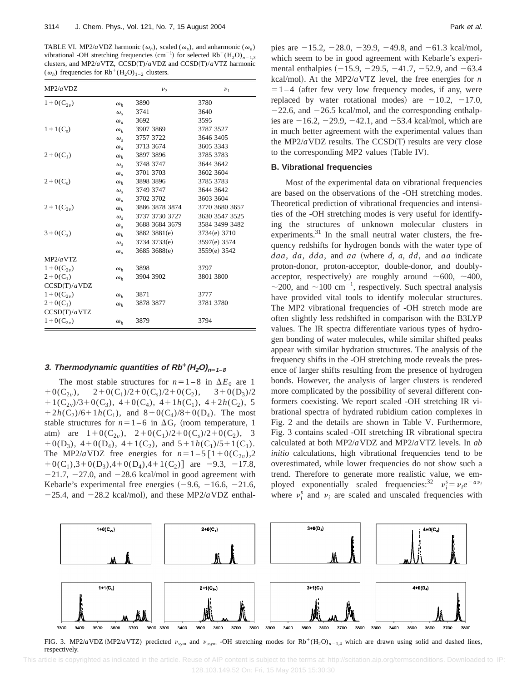TABLE VI. MP2/*a* VDZ harmonic ( $\omega_h$ ), scaled ( $\omega_s$ ), and anharmonic ( $\omega_a$ ) vibrational -OH stretching frequencies  $(cm^{-1})$  for selected  $Rb^+(H_2O)_{n=1,3}$ clusters, and MP2/*a*VTZ, CCSD(T)/*aVDZ* and CCSD(T)/*aVTZ* harmonic  $(\omega_h)$  frequencies for Rb<sup>+</sup>(H<sub>2</sub>O)<sub>1-2</sub> clusters.

| MP2/aVDZ        |                  | $v_3$          | $\nu_1$        |
|-----------------|------------------|----------------|----------------|
| $1+0(C_{2v})$   | $\omega_h$       | 3890           | 3780           |
|                 | $\omega_{\rm c}$ | 3741           | 3640           |
|                 | $\omega_a$       | 3692           | 3595           |
| $1+1(C_s)$      | $\omega_h$       | 3907 3869      | 3787 3527      |
|                 | $\omega_{s}$     | 3757 3722      | 3646 3405      |
|                 | $\omega_a$       | 3713 3674      | 3605 3343      |
| $2+0(C_1)$      | $\omega_h$       | 3897 3896      | 3785 3783      |
|                 | $\omega_{s}$     | 3748 3747      | 3644 3642      |
|                 | $\omega_a$       | 3701 3703      | 3602 3604      |
| $2+0(C_s)$      | $\omega_h$       | 3898 3896      | 3785 3783      |
|                 | $\omega_{\rm c}$ | 3749 3747      | 3644 3642      |
|                 | $\omega_a$       | 3702 3702      | 3603 3604      |
| $2+1(C_{2v})$   | $\omega_h$       | 3886 3878 3874 | 3770 3680 3657 |
|                 | $\omega_{\rm c}$ | 3737 3730 3727 | 3630 3547 3525 |
|                 | $\omega_a$       | 3688 3684 3679 | 3584 3499 3482 |
| $3+0(C_3)$      | $\omega_h$       | 3882 3881(e)   | 3734(e) 3710   |
|                 | $\omega_{\rm c}$ | 3734 3733(e)   | 3597(e) 3574   |
|                 | $\omega_a$       | 3685 3688(e)   | 3559(e) 3542   |
| MP2/aVTZ        |                  |                |                |
| $1+0(C_{2n})$   | $\omega_h$       | 3898           | 3797           |
| $2+0(C_1)$      | $\omega_h$       | 3904 3902      | 3801 3800      |
| CCSD(T)/aVDZ    |                  |                |                |
| $1 + O(C_{2n})$ | $\omega_h$       | 3871           | 3777           |
| $2+0(C_1)$      | $\omega_h$       | 3878 3877      | 3781 3780      |
| CCSD(T)/a VTZ   |                  |                |                |
| $1 + O(C_{2n})$ | $\omega_h$       | 3879           | 3794           |

## **3. Thermodynamic quantities of**  $Rb^{+}(H_{2}O)_{n=1-8}$

The most stable structures for  $n=1-8$  in  $\Delta E_0$  are 1<br>+0(C<sub>2n</sub>), 2+0(C<sub>1</sub>)/2+0(C<sub>2</sub>)/2+0(C<sub>2</sub>), 3+0(D<sub>3</sub>)/2  $2+0(C_1)/2+0(C_s)/2+0(C_2)$ ,  $3+0(D_3)/2$  $+1(C_{2v})/3+0(C_3)$ ,  $4+0(C_4)$ ,  $4+1h(C_1)$ ,  $4+2h(C_2)$ , 5  $1+2h(C_2)/6+1h(C_1)$ , and  $8+0(C_4)/8+0(D_4)$ . The most stable structures for  $n=1-6$  in  $\Delta G_r$  (room temperature, 1) atm) are  $1+0(C_{2v})$ ,  $2+0(C_1)/2+0(C_s)/2+0(C_2)$ , 3 +0(D<sub>3</sub>), 4+0(D<sub>4</sub>), 4+1(C<sub>2</sub>), and 5+1*h*(C<sub>1</sub>)/5+1(C<sub>1</sub>). The MP2/*a*VDZ free energies for  $n=1-5$   $[1+0(C_{2v}),2]$  $+0(C_1)$ ,3+0(D<sub>3</sub>),4+0(D<sub>4</sub>),4+1(C<sub>2</sub>)] are -9.3, -17.8,  $-21.7$ ,  $-27.0$ , and  $-28.6$  kcal/mol in good agreement with Kebarle's experimental free energies  $(-9.6, -16.6, -21.6,$  $-25.4$ , and  $-28.2$  kcal/mol), and these MP2/*a*VDZ enthalpies are  $-15.2$ ,  $-28.0$ ,  $-39.9$ ,  $-49.8$ , and  $-61.3$  kcal/mol, which seem to be in good agreement with Kebarle's experimental enthalpies  $(-15.9, -29.5, -41.7, -52.9, \text{ and } -63.4)$ kcal/mol). At the MP2/ $a$ VTZ level, the free energies for  $n$  $=1-4$  (after few very low frequency modes, if any, were replaced by water rotational modes) are  $-10.2$ ,  $-17.0$ ,  $-22.6$ , and  $-26.5$  kcal/mol, and the corresponding enthalpies are  $-16.2$ ,  $-29.9$ ,  $-42.1$ , and  $-53.4$  kcal/mol, which are in much better agreement with the experimental values than the MP2/ $a$ VDZ results. The CCSD $(T)$  results are very close to the corresponding MP2 values (Table IV).

#### **B. Vibrational frequencies**

Most of the experimental data on vibrational frequencies are based on the observations of the -OH stretching modes. Theoretical prediction of vibrational frequencies and intensities of the -OH stretching modes is very useful for identifying the structures of unknown molecular clusters in experiments.<sup>31</sup> In the small neutral water clusters, the frequency redshifts for hydrogen bonds with the water type of *daa*, *da*, *dda*, and *aa* (where *d*, *a*, *dd*, and *aa* indicate proton-donor, proton-acceptor, double-donor, and doublyacceptor, respectively) are roughly around  $\sim 600$ ,  $\sim 400$ ,  $\sim$ 200, and  $\sim$ 100 cm<sup>-1</sup>, respectively. Such spectral analysis have provided vital tools to identify molecular structures. The MP2 vibrational frequencies of -OH stretch mode are often slightly less redshifted in comparison with the B3LYP values. The IR spectra differentiate various types of hydrogen bonding of water molecules, while similar shifted peaks appear with similar hydration structures. The analysis of the frequency shifts in the -OH stretching mode reveals the presence of larger shifts resulting from the presence of hydrogen bonds. However, the analysis of larger clusters is rendered more complicated by the possibility of several different conformers coexisting. We report scaled -OH stretching IR vibrational spectra of hydrated rubidium cation complexes in Fig. 2 and the details are shown in Table V. Furthermore, Fig. 3 contains scaled -OH stretching IR vibrational spectra calculated at both MP2/*a*VDZ and MP2/*a*VTZ levels. In *ab initio* calculations, high vibrational frequencies tend to be overestimated, while lower frequencies do not show such a trend. Therefore to generate more realistic value, we employed exponentially scaled frequencies:<sup>32</sup>  $v_i^s = v_i e^{-av_i}$ where  $v_i^s$  and  $v_i$  are scaled and unscaled frequencies with



respectively.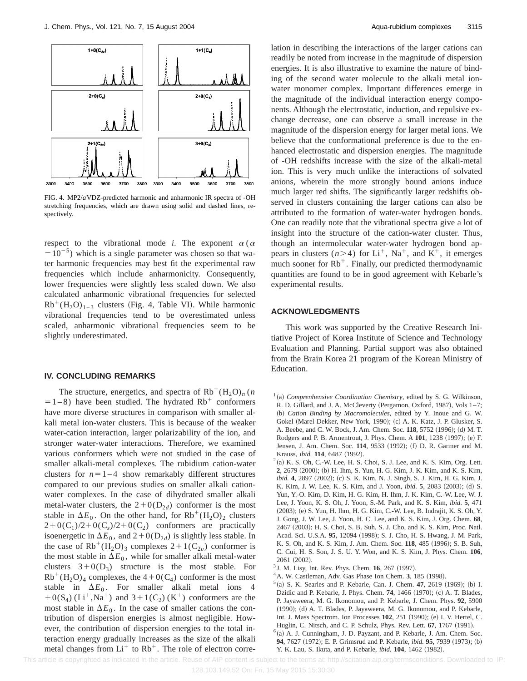

FIG. 4. MP2/*a*VDZ-predicted harmonic and anharmonic IR spectra of -OH stretching frequencies, which are drawn using solid and dashed lines, respectively.

respect to the vibrational mode *i*. The exponent  $\alpha$  ( $\alpha$  $=10^{-5}$ ) which is a single parameter was chosen so that water harmonic frequencies may best fit the experimental raw frequencies which include anharmonicity. Consequently, lower frequencies were slightly less scaled down. We also calculated anharmonic vibrational frequencies for selected  $Rb^+(H_2O)_{1-3}$  clusters (Fig. 4, Table VI). While harmonic vibrational frequencies tend to be overestimated unless scaled, anharmonic vibrational frequencies seem to be slightly underestimated.

#### **IV. CONCLUDING REMARKS**

The structure, energetics, and spectra of  $Rb^+(H_2O)_n(n)$  $=1-8$ ) have been studied. The hydrated Rb<sup>+</sup> conformers have more diverse structures in comparison with smaller alkali metal ion-water clusters. This is because of the weaker water-cation interaction, larger polarizability of the ion, and stronger water-water interactions. Therefore, we examined various conformers which were not studied in the case of smaller alkali-metal complexes. The rubidium cation-water clusters for  $n=1-4$  show remarkably different structures compared to our previous studies on smaller alkali cationwater complexes. In the case of dihydrated smaller alkali metal-water clusters, the  $2+0(D_{2d})$  conformer is the most stable in  $\Delta E_0$ . On the other hand, for  $Rb^+(H_2O)_2$  clusters  $2+0(C_1)/2+0(C_s)/2+0(C_2)$  conformers are practically isoenergetic in  $\Delta E_0$ , and  $2+0(D_{2d})$  is slightly less stable. In the case of  $Rb^+(H_2O)$ <sub>3</sub> complexes  $2+1(C_{2\nu})$  conformer is the most stable in  $\Delta E_0$ , while for smaller alkali metal-water clusters  $3+0(D_3)$  structure is the most stable. For  $Rb^+(H_2O)_4$  complexes, the 4+0(C<sub>4</sub>) conformer is the most stable in  $\Delta E_0$ . For smaller alkali metal ions 4  $+0(S_4)$  (Li<sup>+</sup>,Na<sup>+</sup>) and 3+1(C<sub>2</sub>) (K<sup>+</sup>) conformers are the most stable in  $\Delta E_0$ . In the case of smaller cations the contribution of dispersion energies is almost negligible. However, the contribution of dispersion energies to the total interaction energy gradually increases as the size of the alkali metal changes from  $Li^+$  to  $Rb^+$ . The role of electron correlation in describing the interactions of the larger cations can readily be noted from increase in the magnitude of dispersion energies. It is also illustrative to examine the nature of binding of the second water molecule to the alkali metal ionwater monomer complex. Important differences emerge in the magnitude of the individual interaction energy components. Although the electrostatic, induction, and repulsive exchange decrease, one can observe a small increase in the magnitude of the dispersion energy for larger metal ions. We believe that the conformational preference is due to the enhanced electrostatic and dispersion energies. The magnitude of -OH redshifts increase with the size of the alkali-metal ion. This is very much unlike the interactions of solvated anions, wherein the more strongly bound anions induce much larger red shifts. The significantly larger redshifts observed in clusters containing the larger cations can also be attributed to the formation of water-water hydrogen bonds. One can readily note that the vibrational spectra give a lot of insight into the structure of the cation-water cluster. Thus, though an intermolecular water-water hydrogen bond appears in clusters  $(n>4)$  for Li<sup>+</sup>, Na<sup>+</sup>, and K<sup>+</sup>, it emerges much sooner for  $Rb^+$ . Finally, our predicted thermodynamic quantities are found to be in good agreement with Kebarle's experimental results.

### **ACKNOWLEDGMENTS**

This work was supported by the Creative Research Initiative Project of Korea Institute of Science and Technology Evaluation and Planning. Partial support was also obtained from the Brain Korea 21 program of the Korean Ministry of Education.

- $1$ (a) *Comprenhensive Coordination Chemistry*, edited by S. G. Wilkinson, R. D. Gillard, and J. A. McCleverty (Pergamon, Oxford, 1987), Vols 1-7; ~b! *Cation Binding by Macromolecules*, edited by Y. Inoue and G. W. Gokel (Marel Dekker, New York, 1990); (c) A. K. Katz, J. P. Glusker, S. A. Beebe, and C. W. Bock, J. Am. Chem. Soc. 118, 5752 (1996); (d) M. T. Rodgers and P. B. Armentrout, J. Phys. Chem. A 101, 1238 (1997); (e) F. Jensen, J. Am. Chem. Soc. 114, 9533 (1992); (f) D. R. Garmer and M. Krauss, *ibid.* 114, 6487 (1992).
- $2$ (a) K. S. Oh, C.-W. Lee, H. S. Choi, S. J. Lee, and K. S. Kim, Org. Lett. **2**, 2679 (2000); (b) H. Ihm, S. Yun, H. G. Kim, J. K. Kim, and K. S. Kim, *ibid.* 4, 2897 (2002); (c) S. K. Kim, N. J. Singh, S. J. Kim, H. G. Kim, J. K. Kim, J. W. Lee, K. S. Kim, and J. Yoon, *ibid.* 5, 2083 (2003); (d) S. Yun, Y.-O. Kim, D. Kim, H. G. Kim, H. Ihm, J. K. Kim, C.-W. Lee, W. J. Lee, J. Yoon, K. S. Oh, J. Yoon, S.-M. Park, and K. S. Kim, *ibid.* **5**, 471 (2003); (e) S. Yun, H. Ihm, H. G. Kim, C.-W. Lee, B. Indrajit, K. S. Oh, Y. J. Gong, J. W. Lee, J. Yoon, H. C. Lee, and K. S. Kim, J. Org. Chem. **68**, 2467 (2003); H. S. Choi, S. B. Suh, S. J. Cho, and K. S. Kim, Proc. Natl. Acad. Sci. U.S.A. 95, 12094 (1998); S. J. Cho, H. S. Hwang, J. M. Park, K. S. Oh, and K. S. Kim, J. Am. Chem. Soc. 118, 485 (1996); S. B. Suh, C. Cui, H. S. Son, J. S. U. Y. Won, and K. S. Kim, J. Phys. Chem. **106**, 2061 (2002).
- <sup>3</sup> J. M. Lisy, Int. Rev. Phys. Chem. **16**, 267 (1997).
- $4$ A. W. Castleman, Adv. Gas Phase Ion Chem. 3, 185 (1998).
- $5$ (a) S. K. Searles and P. Kebarle, Can. J. Chem. **47**, 2619 (1969); (b) I. Dzidic and P. Kebarle, J. Phys. Chem. **74**, 1466 (1970); (c) A. T. Blades, P. Jayaweera, M. G. Ikonomou, and P. Kebarle, J. Chem. Phys. **92**, 5900  $(1990)$ ;  $(d)$  A. T. Blades, P. Jayaweera, M. G. Ikonomou, and P. Kebarle, Int. J. Mass Spectrom. Ion Processes 102, 251 (1990); (e) I. V. Hertel, C. Huglin, C. Nitsch, and C. P. Schulz, Phys. Rev. Lett. **67**, 1767 (1991).
- $6$ (a) A. J. Cunningham, J. D. Payzant, and P. Kebarle, J. Am. Chem. Soc. **94**, 7627 (1972); E. P. Grimsrud and P. Kebarle, *ibid.* **95**, 7939 (1973); (b) Y. K. Lau, S. Ikuta, and P. Kebarle, *ibid.* **104**, 1462 (1982).